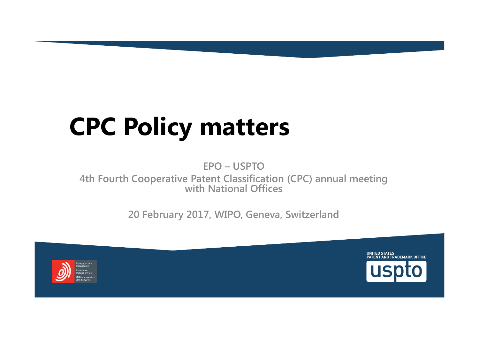# **CPC Policy matters**

**EPO – USPTO 4th Fourth Cooperative Patent Classification (CPC) annual meeting with National Offices**

**20 February 2017, WIPO, Geneva, Switzerland**



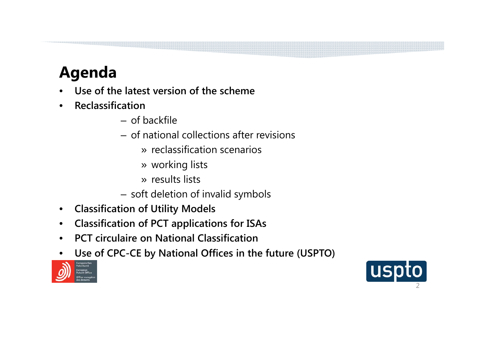# **Agenda**

- •**Use of the latest version of the scheme**
- $\bullet$  **Reclassification**
	- of backfile
	- of national collections after revisions
		- » reclassification scenarios
		- » working lists
		- » results lists
	- soft deletion of invalid symbols
- $\bullet$ **Classification of Utility Models**
- •**Classification of PCT applications for ISAs**
- $\bullet$ **PCT circulaire on National Classification**
- •**Use of CPC-CE by National Offices in the future (USPTO)**



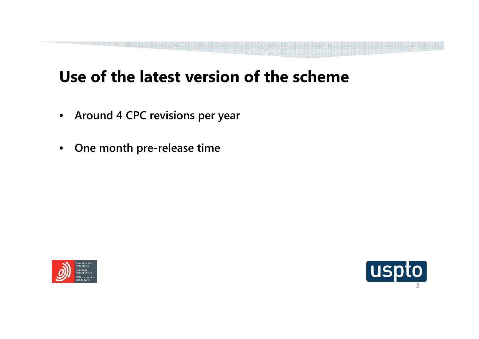### **Use of the latest version of the scheme**

- **Around 4 CPC revisions per year**
- $\bullet$ **One month pre-release time**



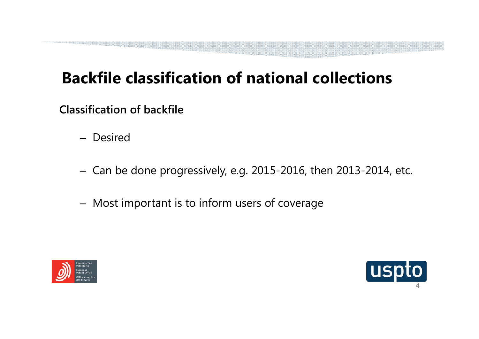# **Backfile classification of national collections**

**Classification of backfile**

- Desired
- $-$  Can be done progressively, e.g. 2015-2016, then 2013-2014, etc.  $\,$
- Most important is to inform users of coverage



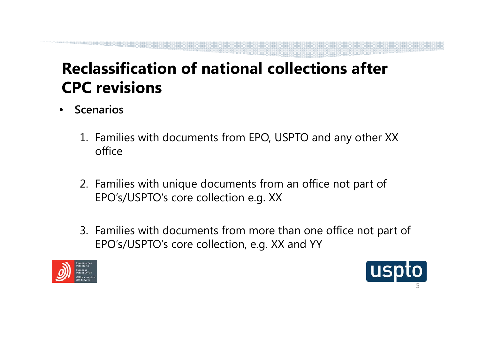## **Reclassification of national collections after CPC revisions**

- $\bullet$  **Scenarios**
	- 1. Families with documents from EPO, USPTO and any other XX office
	- 2. Families with unique documents from an office not part of EPO's/USPTO's core collection e.g. XX
	- 3. Families with documents from more than one office not part of EPO's/USPTO's core collection, e.g. XX and YY



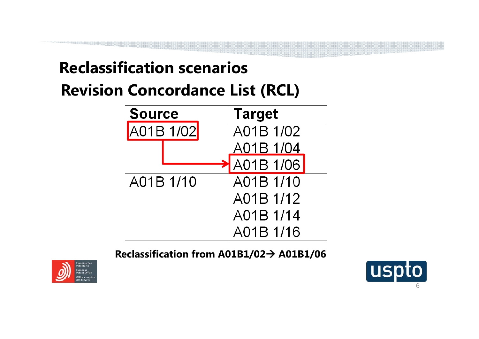# **Reclassification scenariosRevision Concordance List (RCL)**



**Reclassification from A01B1/02 A01B1/06**



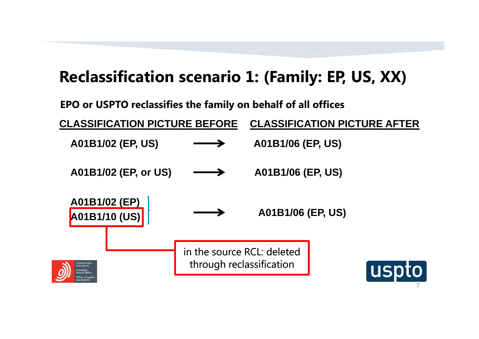# **Reclassification scenario 1: (Family: EP, US, XX)**

**EPO or USPTO reclassifies the family on behalf of all offices**



7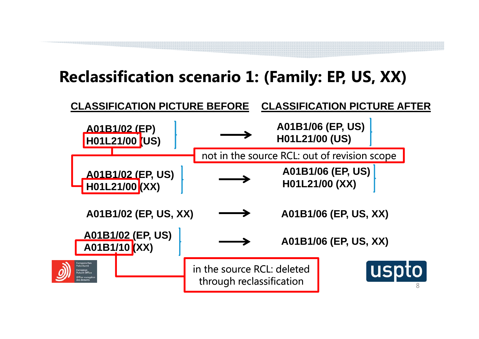# **Reclassification scenario 1: (Family: EP, US, XX)**

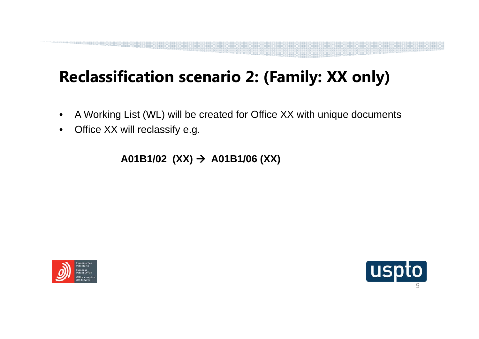# **Reclassification scenario 2: (Family: XX only)**

- $\bullet$ A Working List (WL) will be created for Office XX with unique documents
- $\bullet$ Office XX will reclassify e.g.

**A01B1/02 (XX) A01B1/06 (XX)**



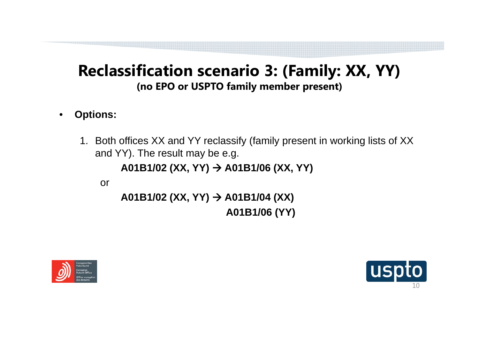#### **Reclassification scenario 3: (Family: XX, YY) (no EPO or USPTO family member present)**

- $\bullet$  **Options:**
	- 1. Both offices XX and YY reclassify (family present in working lists of XX and YY). The result may be e.g.

```
A01B1/02 (XX, YY) 
A01B1/06 (XX, YY)
```
or

```
A01B1/02 (XX, YY) 
A01B1/04 (XX) 
                  A01B1/06 (YY)
```


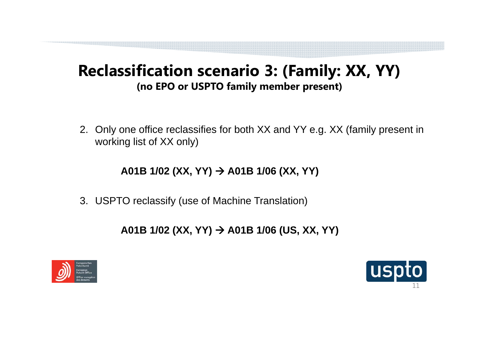#### **Reclassification scenario 3: (Family: XX, YY) (no EPO or USPTO family member present)**

2. Only one office reclassifies for both XX and YY e.g. XX (family present in working list of XX only)

**A01B 1/02 (XX, YY) A01B 1/06 (XX, YY)**

3. USPTO reclassify (use of Machine Translation)

**A01B 1/02 (XX, YY) A01B 1/06 (US, XX, YY)**



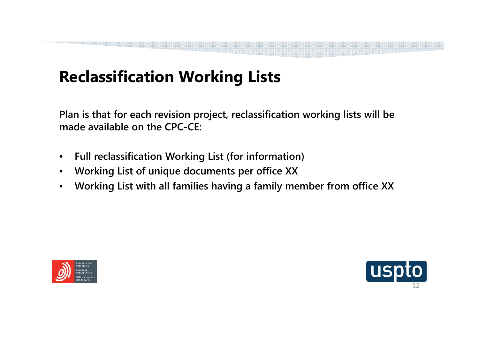# **Reclassification Working Lists**

**Plan is that for each revision project, reclassification working lists will be made available on the CPC-CE:**

- $\bullet$ **Full reclassification Working List (for information)**
- $\bullet$ **Working List of unique documents per office XX**
- $\bullet$ **Working List with all families having a family member from office XX**



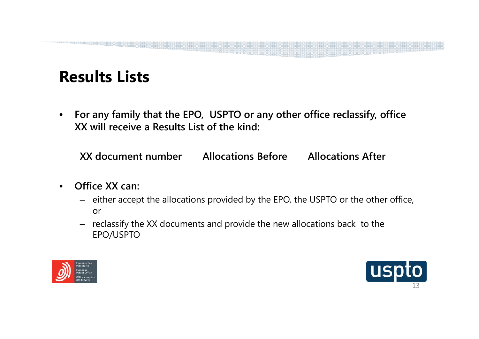### **Results Lists**

 $\bullet$  **For any family that the EPO, USPTO or any other office reclassify, office XX will receive a Results List of the kind:**

**XX document number Allocations Before Allocations After**

- • **Office XX can:** 
	- either accept the allocations provided by the EPO, the USPTO or the other office, or
	- reclassify the XX documents and provide the new allocations back to the EPO/USPTO



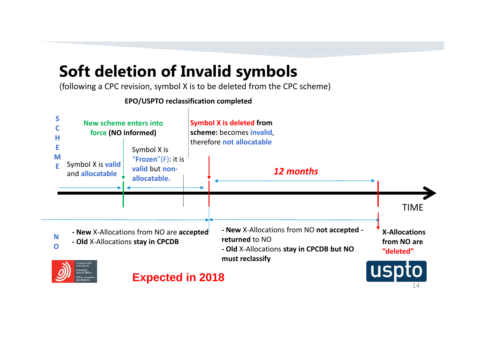### **Soft deletion of Invalid symbols**

(following a CPC revision, symbol X is to be deleted from the CPC scheme)

**EPO/USPTO reclassification completed**

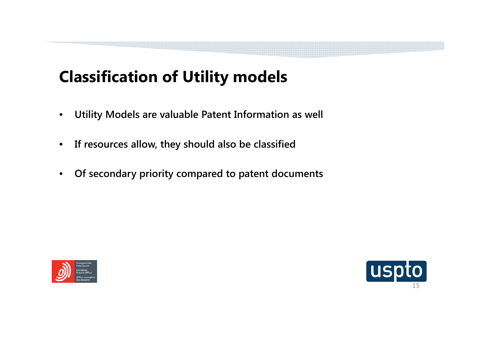# **Classification of Utility models**

- $\bullet$ **Utility Models are valuable Patent Information as well**
- $\bullet$ **If resources allow, they should also be classified**
- $\bullet$ **Of secondary priority compared to patent documents**



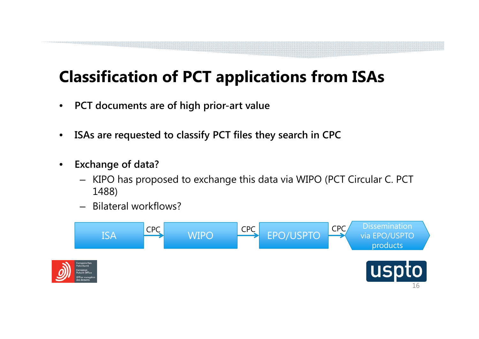# **Classification of PCT applications from ISAs**

- $\bullet$ **PCT documents are of high prior-art value**
- $\bullet$ **ISAs are requested to classify PCT files they search in CPC**
- $\bullet$  **Exchange of data?** 
	- KIPO has proposed to exchange this data via WIPO (PCT Circular C. PCT 1488)
	- $\equiv$ Bilateral workflows?

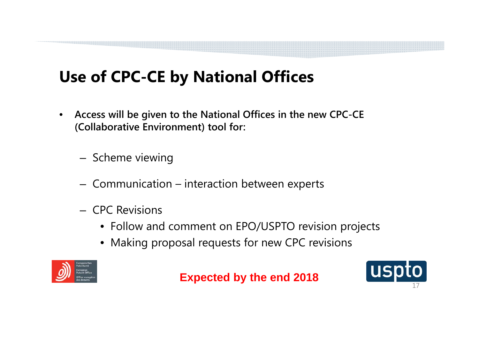# **Use of CPC-CE by National Offices**

- $\bullet$  **Access will be given to the National Offices in the new CPC-CE (Collaborative Environment) tool for:**
	- Scheme viewing
	- $-$  Communication interaction between experts
	- CPC Revisions
		- Follow and comment on EPO/USPTO revision projects
		- Making proposal requests for new CPC revisions



**Expected by the end 2018**